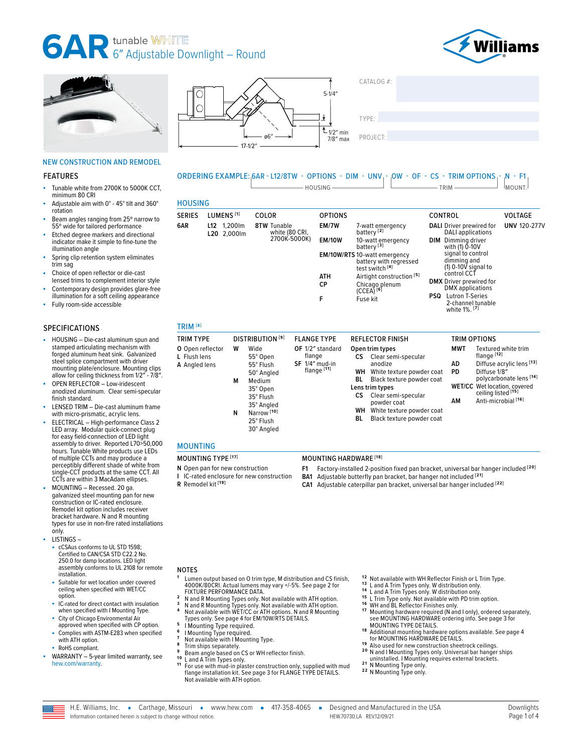# **6<sup>T</sup>** AR 6<sup>*M*</sup> Adjustable Downlight – Round











# NEW CONSTRUCTION AND REMODEL

#### FEATURES

- Tunable white from 2700K to 5000K CCT, minimum 80 CRI
- Adjustable aim with 0° 45° tilt and 360° rotation
- Beam angles ranging from 25° narrow to 55º wide for tailored performance
- Etched degree markers and directional indicator make it simple to fine-tune the illumination angle
- Spring clip retention system eliminates trim sag
- Choice of open reflector or die-cast lensed trims to complement interior style
- Contemporary design provides glare-free illumination for a soft ceiling appearance
- Fully room-side accessible

#### SPECIFICATIONS

- HOUSING Die-cast aluminum spun and stamped articulating mechanism with forged aluminum heat sink. Galvanized steel splice compartment with driver mounting plate/enclosure. Mounting clips allow for ceiling thickness from 1/2″ - 7/8″.
- OPEN REFLECTOR Low-iridescent anodized aluminum. Clear semi-specular finish standard.
- LENSED TRIM Die-cast aluminum frame with micro-prismatic, acrylic lens.
- ELECTRICAL High-performance Class 2 LED array. Modular quick-connect plug for easy field-connection of LED light assembly to driver. Reported L70>50,000 hours. Tunable White products use LEDs of multiple CCTs and may produce a perceptibly different shade of white from single-CCT products at the same CCT. All CCTs are within 3 MacAdam ellipses.
- MOUNTING Recessed. 20 ga. galvanized steel mounting pan for new construction or IC-rated enclosure. Remodel kit option includes receiver bracket hardware. N and R mounting types for use in non-fire rated installations only.
- LISTINGS
	- cCSAus conforms to UL STD 1598; Certified to CAN/CSA STD C22.2 No. 250.0 for damp locations. LED light assembly conforms to UL 2108 for remote installation.
	- Suitable for wet location under covered ceiling when specified with WET/CC option.
	- IC-rated for direct contact with insulation when specified with I Mounting Type.
	- City of Chicago Environmental Air approved when specified with CP option.
	- Complies with ASTM-E283 when specified with ATH option.
	- RoHS compliant.
- WARRANTY 5-year limited warranty, see [hew.com/warranty.](https://www.hew.com/resources/warranty-and-terms)

ORDERING EXAMPLE: 6AR - L12/8TW - OPTIONS - DIM - UNV - OW - OF - CS - TRIM OPTIONS - N - F1  $\Box$  HOUSING  $\Box$  TRIM  $\Box$  TRIM  $\Box$  MOUNT.

|--|

| <b>SERIES</b>       | LUMENS <sup>[1]</sup>         | COLOR                                | <b>OPTIONS</b>     |                                                                                             | <b>CONTROL</b>                                                          | <b>VOLTAGE</b>      |
|---------------------|-------------------------------|--------------------------------------|--------------------|---------------------------------------------------------------------------------------------|-------------------------------------------------------------------------|---------------------|
| 6AR                 | 1.200lm<br>L12<br>L20 2.000lm | <b>8TW Tunable</b><br>white (80 CRI, | EM/7W              | 7-watt emergency<br>battery <sup>[2]</sup>                                                  | <b>DALI</b> Driver prewired for<br>DALI applications                    | <b>UNV 120-277V</b> |
|                     |                               | 2700K-5000K)                         | <b>EM/10W</b>      | 10-watt emergency<br>battery <sup>[3]</sup>                                                 | DIM<br>Dimming driver<br>with (1) 0-10V                                 |                     |
|                     |                               |                                      |                    | <b>EM/10W/RTS</b> 10-watt emergency<br>battery with regressed<br>test switch <sup>[4]</sup> | signal to control<br>dimming and<br>$(1)$ 0-10 $\overline{V}$ signal to |                     |
|                     |                               |                                      | <b>ATH</b><br>СP   | Airtight construction <sup>[5]</sup><br>Chicago plenum                                      | control CCT<br><b>DMX</b> Driver prewired for                           |                     |
|                     |                               |                                      | F                  | $(CCEA)^{[6]}$<br>Fuse kit                                                                  | DMX applications<br><b>Lutron T-Series</b><br>PSQ                       |                     |
|                     |                               |                                      |                    |                                                                                             | 2-channel tunable<br>white 1%. [7]                                      |                     |
| TRIM <sup>[8]</sup> |                               |                                      |                    |                                                                                             |                                                                         |                     |
| TRIM TYPE           |                               | DISTRIBUTION <sup>[9]</sup>          | <b>FLANGE TYPE</b> | <b>REFLECTOR FINISH</b>                                                                     | TRIM OPTIONS                                                            |                     |

|                                                                                                                                                                                                                                                                                                                                                              |                                                                                                                                                                                                                                                                                                | טווטו זט וווחו                                                                                                                                                                                                                                        |
|--------------------------------------------------------------------------------------------------------------------------------------------------------------------------------------------------------------------------------------------------------------------------------------------------------------------------------------------------------------|------------------------------------------------------------------------------------------------------------------------------------------------------------------------------------------------------------------------------------------------------------------------------------------------|-------------------------------------------------------------------------------------------------------------------------------------------------------------------------------------------------------------------------------------------------------|
| <b>INIMITE</b><br><b>יוטווטשוחוכו</b> ט<br>ILAINUL IIFL<br>OF 1/2" standard<br>O Open reflector<br>W<br>Wide<br>flange<br>L Flush lens<br>55° Open<br>$SF$ 1/4" mud-in<br>A Angled lens<br>55° Flush<br>flange <sup>[11]</sup><br>50° Angled<br>Medium<br>М<br>35° Open<br>35° Flush<br>35° Analed<br>Narrow <sup>[10]</sup><br>N<br>25° Flush<br>30° Angled | NEI LEUTUN I IINIJII<br>Open trim types<br>Clear semi-specular<br>СS<br>anodize<br><b>WH</b> White texture powder coat<br>Black texture powder coat<br>BL<br>Lens trim types<br>Clear semi-specular<br>СS<br>powder coat<br>WН<br>White texture powder coat<br>Black texture powder coat<br>BL | <b>MWT</b><br>Textured white trim<br>flange <sup>[12]</sup><br>Diffuse acrylic lens [13]<br>AD<br>Diffuse 1/8"<br>PD<br>polycarbonate lens [14]<br><b>WET/CC</b> Wet location, covered<br>ceiling listed [15]<br>Anti-microbial <sup>[16]</sup><br>ΑМ |

#### MOUNTING

- MOUNTING TYPE **[17]** MOUNTING HARDWARE **[18]**
- **N** Open pan for new construction
- **I** IC-rated enclosure for new construction **R** Remodel kit **[19]**
- **F1** Factory-installed 2-position fixed pan bracket, universal bar hanger included **[20] BA1** Adjustable butterfly pan bracket, bar hanger not included **[21]**
- **CA1** Adjustable caterpillar pan bracket, universal bar hanger included **[22]**
- 

- **<sup>1</sup>** Lumen output based on O trim type, M distribution and CS finish, 4000K/80CRI. Actual lumens may vary +/-5%. [See page 2 for](#page-1-0)
- 
- 
- 
- 
- 
- 
- 
- 
- 
- Types only. [See page 4 for EM/10W/RTS DETAILS.](#page-3-0)<br>
6 I Mounting Type required.<br>
7 Not available with I Mounting Type.<br>
7 Not available with I Mounting Type.<br>
8 Trim ships separately.<br>
9 Beam angle based on CS or WH reflector Not available with ATH option.
- 
- 
- 
- 
- <sup>12</sup> Not available with WH Reflector Finish or L Trim Type.<br><sup>13</sup> L and A Trim Types only. W distribution only.<br><sup>14</sup> L and A Trim Types only. W distribution only.<br><sup>15</sup> L Trim Type only. Not available with PD trim option.<br><sup>1</sup> see MOUNTING HARDWARE ordering info. See page 3 for<br>MOUNTING TYPE DETAILS. [MOUNTING TYPE DETAILS.](#page-2-1) **1 8** Additional mounting hardware options available. [See page 4](#page-3-1)
- 
- 
- [for MOUNTING HARDWARE DETAILS.](#page-3-1) **1 9** Also used for new construction sheetrock ceilings. **2 0** N and I Mounting Types only. Universal bar hanger ships
- 20 N and I Mounting Types only. Universal bar hanger ships<br>uninstalled. I Mounting requires external brackets.<br><sup>21</sup> N Mounting Type only.<br><sup>22</sup> N Mounting Type only.
- 
- 



- NOTES
	-
	-
	-
	- <sup>2</sup> N and R Mounting Types only. Not available with ATH option.<br><sup>3</sup> N and R Mounting Types only. Not available with ATH option.<br><sup>4</sup> Not available with WET/CC or ATH options. N and R Mounting<br>Types only. See page 4 for EM/1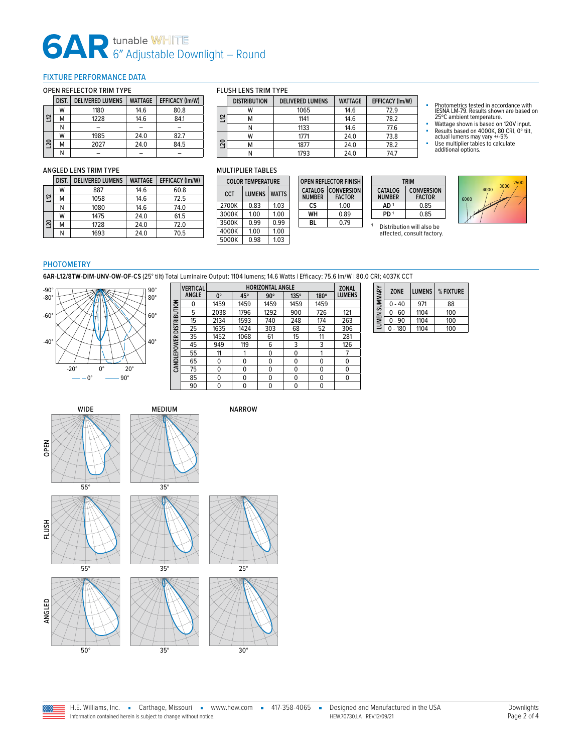# **6AR** tunable WHITE<br>6" Adjustable Downlight – Round

# <span id="page-1-0"></span>FIXTURE PERFORMANCE DATA

#### OPEN REFLECTOR TRIM TYPE

|            | DIST. | <b>DELIVERED LUMENS</b> | <b>WATTAGE</b> | <b>EFFICACY (Im/W)</b> |  |  |  |  |  |
|------------|-------|-------------------------|----------------|------------------------|--|--|--|--|--|
|            | W     | 1180                    | 14.6           | 80.8                   |  |  |  |  |  |
| $\Xi$      | M     | 1228                    | 14.6           | 84.1                   |  |  |  |  |  |
|            | Ν     |                         |                |                        |  |  |  |  |  |
|            | W     | 1985                    | 24.0           | 82.7                   |  |  |  |  |  |
| <b>DZ1</b> | M     | 2027                    | 24.0           | 84.5                   |  |  |  |  |  |
|            | N     |                         |                |                        |  |  |  |  |  |

#### FLUSH LENS TRIM TYPE

|    | <b>DISTRIBUTION</b> | <b>DELIVERED LUMENS</b> | <b>WATTAGE</b> | EFFICACY (Im/W) |  |  |
|----|---------------------|-------------------------|----------------|-----------------|--|--|
|    | W                   | 1065                    | 14.6           | 72.9            |  |  |
| 음  | ΙVΙ                 | 1141                    | 14.6           | 78.2            |  |  |
|    |                     | 1133                    | 14.6           | 77.6            |  |  |
| 20 | W                   | 1771                    | 24.0           | 73.8            |  |  |
|    |                     | 1877                    | 24.0           | 78.2            |  |  |
|    |                     | 1793                    | 24.0           | 74.7            |  |  |

**OPEN REFLECTOR FINISH CATALOG NUMBER CONVERSION FACTOR CS** 1.00 **WH** 0.89 **BL** 0.79

# ANGLED LENS TRIM TYPE

|                 | DIST. | <b>DELIVERED LUMENS</b> | <b>WATTAGE</b> | <b>EFFICACY (Im/W)</b> |
|-----------------|-------|-------------------------|----------------|------------------------|
|                 | W     | 887                     | 14.6           | 60.8                   |
| $\Xi$           | М     | 1058                    | 14.6           | 72.5                   |
|                 | Ν     | 1080                    | 14.6           | 74.0                   |
|                 | W     | 1475                    | 240            | 61.5                   |
| $\overline{50}$ | M     | 1728                    | 24.0           | 72.0                   |
|                 | Ν     | 1693                    | 24.0           | 70.5                   |

#### MULTIPLIER TABLES

| <b>COLOR TEMPERATURE</b> |               |              |  |  |  |  |
|--------------------------|---------------|--------------|--|--|--|--|
| CCT                      | <b>LUMENS</b> | <b>WATTS</b> |  |  |  |  |
| 2700K                    | 0.83          | 1.03         |  |  |  |  |
| 3000K                    | 1.00          | 1.00         |  |  |  |  |
| 3500K                    | በ 99          | 0.99         |  |  |  |  |
| 4000K                    | 1.00          | 1.00         |  |  |  |  |
| 5000K                    | 0.98          | 1.03         |  |  |  |  |

**TRIM CATALOG NUMBER**<br>AD<sup>1</sup> **CONVERSION FACTOR**  $\frac{0.85}{0.85}$ **PD**<sup>1</sup>



- 
- 

# 6000  $4000$   $3000$   $2500$

### PHOTOMETRY

**6AR-L12/8TW-DIM-UNV-OW-OF-CS** (25° tilt) Total Luminaire Output: 1104 lumens; 14.6 Watts | Efficacy: 75.6 lm/W | 80.0 CRI; 4037K CCT



|              | <b>VERTICAL</b> | <b>HORIZONTAL ANGLE</b> |          |            |      |      | <b>ZONAL</b>  |
|--------------|-----------------|-------------------------|----------|------------|------|------|---------------|
|              | <b>ANGLE</b>    | $0^{\circ}$             | 45°      | $90^\circ$ | 135° | 180° | <b>LUMENS</b> |
| DISTRIBUTION | ŋ               | 1459                    | 1459     | 1459       | 1459 | 1459 |               |
|              | 5               | 2038                    | 1796     | 1292       | 900  | 726  | 121           |
|              | 15              | 2134                    | 1593     | 740        | 248  | 174  | 263           |
|              | 25              | 1635                    | 1424     | 303        | 68   | 52   | 306           |
|              | 35              | 1452                    | 1068     | 61         | 15   | 11   | 281           |
|              | 45              | 949                     | 119      | 6          | 3    | 3    | 126           |
|              | 55              | 11                      |          | 0          | 0    |      |               |
| CANDLEPOWER  | 65              | 0                       | $\Omega$ | 0          | 0    | 0    | 0             |
|              | 75              | 0                       | $\Omega$ | 0          | 0    | 0    | 0             |
|              | 85              | U                       | $\Omega$ | 0          | 0    | 0    | 0             |
|              | 90              | 0                       | 0        | 0          | 0    | 0    |               |

| LUMEN SUMMARY | <b>ZONE</b> | <b>LUMENS</b> | % FIXTURE |
|---------------|-------------|---------------|-----------|
|               | $0 - 40$    | 971           | 88        |
|               | $0 - 60$    | 1104          | 100       |
|               | $0 - 90$    | 1104          | 100       |
|               | $-180$<br>0 | 1104          | 100       |



**Basic** 



**<sup>1</sup>** Distribution will also be affected, consult factory.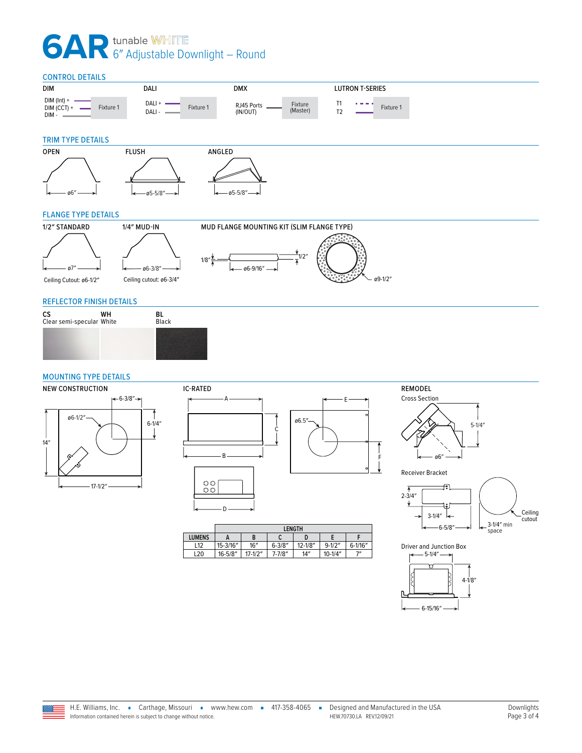# **6AR** tunable WHITE<br>6" Adjustable Downlight – Round

<span id="page-2-0"></span>

### <span id="page-2-1"></span>MOUNTING TYPE DETAILS





|               | <b>LENGTH</b> |             |             |             |             |              |
|---------------|---------------|-------------|-------------|-------------|-------------|--------------|
| <b>LUMENS</b> |               | B           | ⊾           |             |             |              |
| L12           | 15-3/16"      | 16''        | $6 - 3/8"$  | $12 - 1/8"$ | $9 - 1/2''$ | $6 - 1/16''$ |
| L20           | $16 - 5/8"$   | $17 - 1/2"$ | $7 - 7/8''$ | 14''        | $10 - 1/4"$ | ייד          |





F